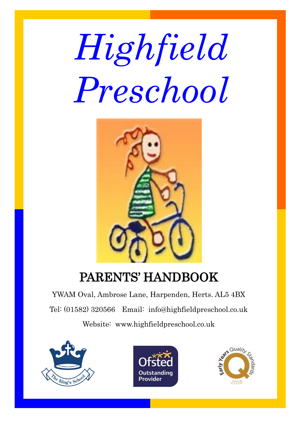# *Highfield Preschool*



## PARENTS' HANDBOOK

YWAM Oval, Ambrose Lane, Harpenden, Herts. AL5 4BX Tel: (01582) 320566 Email: info@highfieldpreschool.co.uk Website: www.highfieldpreschool.co.uk





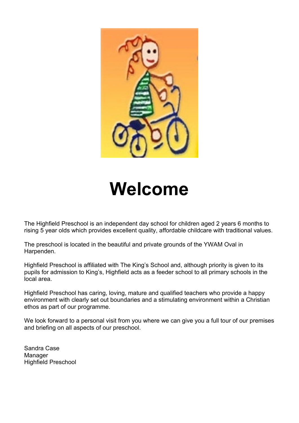

## **Welcome**

The Highfield Preschool is an independent day school for children aged 2 years 6 months to rising 5 year olds which provides excellent quality, affordable childcare with traditional values.

The preschool is located in the beautiful and private grounds of the YWAM Oval in Harpenden.

Highfield Preschool is affiliated with The King's School and, although priority is given to its pupils for admission to King's, Highfield acts as a feeder school to all primary schools in the local area.

Highfield Preschool has caring, loving, mature and qualified teachers who provide a happy environment with clearly set out boundaries and a stimulating environment within a Christian ethos as part of our programme.

We look forward to a personal visit from you where we can give you a full tour of our premises and briefing on all aspects of our preschool.

Sandra Case Manager Highfield Preschool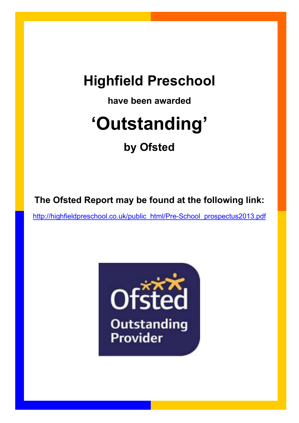## **Highfield Preschool**

**have been awarded**

# **'Outstanding'**

## **by Ofsted**

**The Ofsted Report may be found at the following link:**

[http://highfieldpreschool.co.uk/public\\_html/Pre-School\\_prospectus2013.pdf](http://highfieldpreschool.co.uk/public_html/Pre-School_prospectus2013.pdf)

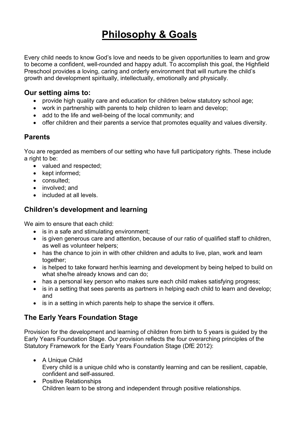## **Philosophy & Goals**

Every child needs to know God's love and needs to be given opportunities to learn and grow to become a confident, well-rounded and happy adult. To accomplish this goal, the Highfield Preschool provides a loving, caring and orderly environment that will nurture the child's growth and development spiritually, intellectually, emotionally and physically.

#### **Our setting aims to:**

- provide high quality care and education for children below statutory school age;
- work in partnership with parents to help children to learn and develop:
- add to the life and well-being of the local community; and
- offer children and their parents a service that promotes equality and values diversity.

#### **Parents**

You are regarded as members of our setting who have full participatory rights. These include a right to be:

- valued and respected;
- kept informed:
- consulted:
- involved; and
- included at all levels.

#### **Children's development and learning**

We aim to ensure that each child:

- is in a safe and stimulating environment;
- is given generous care and attention, because of our ratio of qualified staff to children, as well as volunteer helpers;
- has the chance to join in with other children and adults to live, plan, work and learn together;
- is helped to take forward her/his learning and development by being helped to build on what she/he already knows and can do;
- has a personal key person who makes sure each child makes satisfying progress;
- is in a setting that sees parents as partners in helping each child to learn and develop: and
- is in a setting in which parents help to shape the service it offers.

#### **The Early Years Foundation Stage**

Provision for the development and learning of children from birth to 5 years is guided by the Early Years Foundation Stage. Our provision reflects the four overarching principles of the Statutory Framework for the Early Years Foundation Stage (DfE 2012):

- A Unique Child Every child is a unique child who is constantly learning and can be resilient, capable, confident and self-assured.
	- Positive Relationships Children learn to be strong and independent through positive relationships.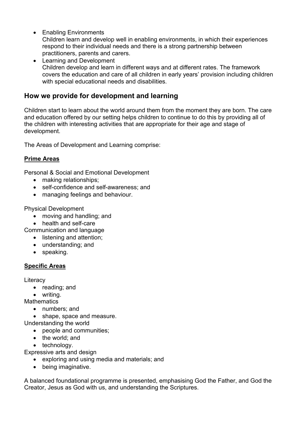• Enabling Environments

Children learn and develop well in enabling environments, in which their experiences respond to their individual needs and there is a strong partnership between practitioners, parents and carers.

• Learning and Development Children develop and learn in different ways and at different rates. The framework covers the education and care of all children in early years' provision including children with special educational needs and disabilities.

#### **How we provide for development and learning**

Children start to learn about the world around them from the moment they are born. The care and education offered by our setting helps children to continue to do this by providing all of the children with interesting activities that are appropriate for their age and stage of development.

The Areas of Development and Learning comprise:

#### **Prime Areas**

Personal & Social and Emotional Development

- making relationships:
- self-confidence and self-awareness; and
- managing feelings and behaviour.

Physical Development

- moving and handling; and
- health and self-care

Communication and language

- listening and attention;
- understanding; and
- speaking.

#### **Specific Areas**

**Literacy** 

- reading; and
- writing.

**Mathematics** 

- numbers; and
- shape, space and measure.

Understanding the world

- people and communities;
- the world: and
- technology.

Expressive arts and design

- exploring and using media and materials; and
- being imaginative.

A balanced foundational programme is presented, emphasising God the Father, and God the Creator, Jesus as God with us, and understanding the Scriptures.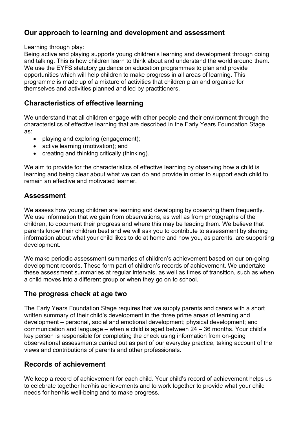#### **Our approach to learning and development and assessment**

Learning through play:

Being active and playing supports young children's learning and development through doing and talking. This is how children learn to think about and understand the world around them. We use the EYFS statutory guidance on education programmes to plan and provide opportunities which will help children to make progress in all areas of learning. This programme is made up of a mixture of activities that children plan and organise for themselves and activities planned and led by practitioners.

#### **Characteristics of effective learning**

We understand that all children engage with other people and their environment through the characteristics of effective learning that are described in the Early Years Foundation Stage as:

- playing and exploring (engagement);
- active learning (motivation); and
- creating and thinking critically (thinking).

We aim to provide for the characteristics of effective learning by observing how a child is learning and being clear about what we can do and provide in order to support each child to remain an effective and motivated learner.

#### **Assessment**

We assess how young children are learning and developing by observing them frequently. We use information that we gain from observations, as well as from photographs of the children, to document their progress and where this may be leading them. We believe that parents know their children best and we will ask you to contribute to assessment by sharing information about what your child likes to do at home and how you, as parents, are supporting development.

We make periodic assessment summaries of children's achievement based on our on-going development records. These form part of children's records of achievement. We undertake these assessment summaries at regular intervals, as well as times of transition, such as when a child moves into a different group or when they go on to school.

#### **The progress check at age two**

The Early Years Foundation Stage requires that we supply parents and carers with a short written summary of their child's development in the three prime areas of learning and development – personal, social and emotional development; physical development; and communication and language – when a child is aged between 24 – 36 months. Your child's key person is responsible for completing the check using information from on-going observational assessments carried out as part of our everyday practice, taking account of the views and contributions of parents and other professionals.

#### **Records of achievement**

We keep a record of achievement for each child. Your child's record of achievement helps us to celebrate together her/his achievements and to work together to provide what your child needs for her/his well-being and to make progress.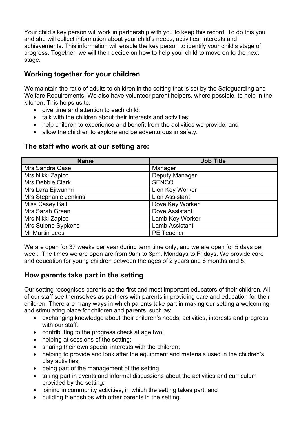Your child's key person will work in partnership with you to keep this record. To do this you and she will collect information about your child's needs, activities, interests and achievements. This information will enable the key person to identify your child's stage of progress. Together, we will then decide on how to help your child to move on to the next stage.

#### **Working together for your children**

We maintain the ratio of adults to children in the setting that is set by the Safeguarding and Welfare Requirements. We also have volunteer parent helpers, where possible, to help in the kitchen. This helps us to:

- give time and attention to each child;
- talk with the children about their interests and activities;
- help children to experience and benefit from the activities we provide; and
- allow the children to explore and be adventurous in safety.

#### **The staff who work at our setting are:**

| <b>Name</b>             | <b>Job Title</b>      |
|-------------------------|-----------------------|
| Mrs Sandra Case         | Manager               |
| Mrs Nikki Zapico        | <b>Deputy Manager</b> |
| <b>Mrs Debbie Clark</b> | <b>SENCO</b>          |
| Mrs Lara Ejiwunmi       | Lion Key Worker       |
| Mrs Stephanie Jenkins   | Lion Assistant        |
| Miss Casey Ball         | Dove Key Worker       |
| Mrs Sarah Green         | Dove Assistant        |
| Mrs Nikki Zapico        | Lamb Key Worker       |
| Mrs Sulene Sypkens      | Lamb Assistant        |
| <b>Mr Martin Lees</b>   | <b>PE</b> Teacher     |

We are open for 37 weeks per year during term time only, and we are open for 5 days per week. The times we are open are from 9am to 3pm, Mondays to Fridays. We provide care and education for young children between the ages of 2 years and 6 months and 5.

#### **How parents take part in the setting**

Our setting recognises parents as the first and most important educators of their children. All of our staff see themselves as partners with parents in providing care and education for their children. There are many ways in which parents take part in making our setting a welcoming and stimulating place for children and parents, such as:

- exchanging knowledge about their children's needs, activities, interests and progress with our staff:
- contributing to the progress check at age two;
- helping at sessions of the setting;
- sharing their own special interests with the children:
- helping to provide and look after the equipment and materials used in the children's play activities;
- being part of the management of the setting
- taking part in events and informal discussions about the activities and curriculum provided by the setting;
- joining in community activities, in which the setting takes part; and
- building friendships with other parents in the setting.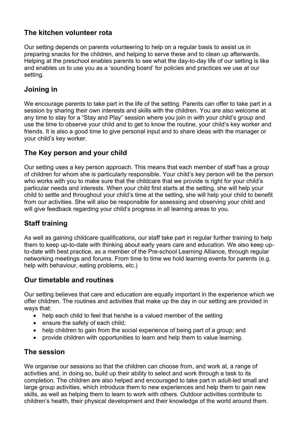#### **The kitchen volunteer rota**

Our setting depends on parents volunteering to help on a regular basis to assist us in preparing snacks for the children, and helping to serve these and to clean up afterwards. Helping at the preschool enables parents to see what the day-to-day life of our setting is like and enables us to use you as a 'sounding board' for policies and practices we use at our setting.

#### **Joining in**

We encourage parents to take part in the life of the setting. Parents can offer to take part in a session by sharing their own interests and skills with the children. You are also welcome at any time to stay for a "Stay and Play" session where you join in with your child's group and use the time to observe your child and to get to know the routine, your child's key worker and friends. It is also a good time to give personal input and to share ideas with the manager or your child's key worker.

#### **The Key person and your child**

Our setting uses a key person approach. This means that each member of staff has a group of children for whom she is particularly responsible. Your child's key person will be the person who works with you to make sure that the childcare that we provide is right for your child's particular needs and interests. When your child first starts at the setting, she will help your child to settle and throughout your child's time at the setting, she will help your child to benefit from our activities. She will also be responsible for assessing and observing your child and will give feedback regarding your child's progress in all learning areas to you.

#### **Staff training**

As well as gaining childcare qualifications, our staff take part in regular further training to help them to keep up-to-date with thinking about early years care and education. We also keep upto-date with best practice, as a member of the Pre-school Learning Alliance, through regular networking meetings and forums. From time to time we hold learning events for parents (e.g. help with behaviour, eating problems, etc.)

#### **Our timetable and routines**

Our setting believes that care and education are equally important in the experience which we offer children. The routines and activities that make up the day in our setting are provided in ways that:

- help each child to feel that he/she is a valued member of the setting
- ensure the safety of each child;
- help children to gain from the social experience of being part of a group; and
- provide children with opportunities to learn and help them to value learning.

#### **The session**

We organise our sessions so that the children can choose from, and work at, a range of activities and, in doing so, build up their ability to select and work through a task to its completion. The children are also helped and encouraged to take part in adult-led small and large group activities, which introduce them to new experiences and help them to gain new skills, as well as helping them to learn to work with others. Outdoor activities contribute to children's health, their physical development and their knowledge of the world around them.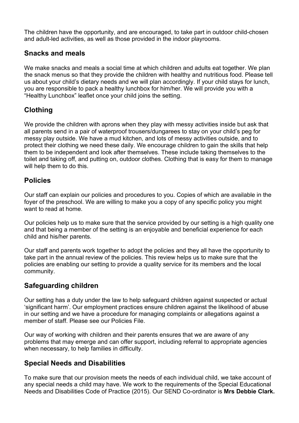The children have the opportunity, and are encouraged, to take part in outdoor child-chosen and adult-led activities, as well as those provided in the indoor playrooms.

#### **Snacks and meals**

We make snacks and meals a social time at which children and adults eat together. We plan the snack menus so that they provide the children with healthy and nutritious food. Please tell us about your child's dietary needs and we will plan accordingly. If your child stays for lunch, you are responsible to pack a healthy lunchbox for him/her. We will provide you with a "Healthy Lunchbox" leaflet once your child joins the setting.

#### **Clothing**

We provide the children with aprons when they play with messy activities inside but ask that all parents send in a pair of waterproof trousers/dungarees to stay on your child's peg for messy play outside. We have a mud kitchen, and lots of messy activities outside, and to protect their clothing we need these daily. We encourage children to gain the skills that help them to be independent and look after themselves. These include taking themselves to the toilet and taking off, and putting on, outdoor clothes. Clothing that is easy for them to manage will help them to do this.

#### **Policies**

Our staff can explain our policies and procedures to you. Copies of which are available in the foyer of the preschool. We are willing to make you a copy of any specific policy you might want to read at home.

Our policies help us to make sure that the service provided by our setting is a high quality one and that being a member of the setting is an enjoyable and beneficial experience for each child and his/her parents.

Our staff and parents work together to adopt the policies and they all have the opportunity to take part in the annual review of the policies. This review helps us to make sure that the policies are enabling our setting to provide a quality service for its members and the local community.

#### **Safeguarding children**

Our setting has a duty under the law to help safeguard children against suspected or actual 'significant harm'. Our employment practices ensure children against the likelihood of abuse in our setting and we have a procedure for managing complaints or allegations against a member of staff. Please see our Policies File.

Our way of working with children and their parents ensures that we are aware of any problems that may emerge and can offer support, including referral to appropriate agencies when necessary, to help families in difficulty.

#### **Special Needs and Disabilities**

To make sure that our provision meets the needs of each individual child, we take account of any special needs a child may have. We work to the requirements of the Special Educational Needs and Disabilities Code of Practice (2015). Our SEND Co-ordinator is **Mrs Debbie Clark.**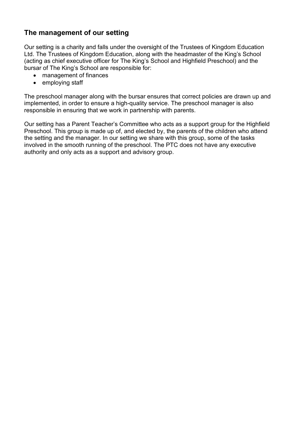#### **The management of our setting**

Our setting is a charity and falls under the oversight of the Trustees of Kingdom Education Ltd. The Trustees of Kingdom Education, along with the headmaster of the King's School (acting as chief executive officer for The King's School and Highfield Preschool) and the bursar of The King's School are responsible for:

- management of finances
- employing staff

The preschool manager along with the bursar ensures that correct policies are drawn up and implemented, in order to ensure a high-quality service. The preschool manager is also responsible in ensuring that we work in partnership with parents.

Our setting has a Parent Teacher's Committee who acts as a support group for the Highfield Preschool. This group is made up of, and elected by, the parents of the children who attend the setting and the manager. In our setting we share with this group, some of the tasks involved in the smooth running of the preschool. The PTC does not have any executive authority and only acts as a support and advisory group.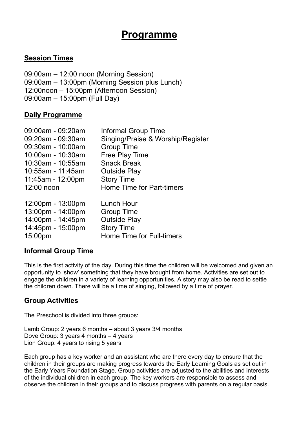## **Programme**

#### **Session Times**

09:00am – 12:00 noon (Morning Session) 09:00am – 13:00pm (Morning Session plus Lunch) 12:00noon – 15:00pm (Afternoon Session) 09:00am – 15:00pm (Full Day)

#### **Daily Programme**

| 09:00am - 09:20am | <b>Informal Group Time</b>        |
|-------------------|-----------------------------------|
| 09:20am - 09:30am | Singing/Praise & Worship/Register |
| 09:30am - 10:00am | <b>Group Time</b>                 |
| 10:00am - 10:30am | Free Play Time                    |
| 10:30am - 10:55am | <b>Snack Break</b>                |
| 10:55am - 11:45am | <b>Outside Play</b>               |
| 11:45am - 12:00pm | <b>Story Time</b>                 |
| 12:00 noon        | <b>Home Time for Part-timers</b>  |
| 12:00pm - 13:00pm | Lunch Hour                        |
| 13:00pm - 14:00pm | <b>Group Time</b>                 |
| 14:00pm - 14:45pm | <b>Outside Play</b>               |
| 14:45pm - 15:00pm | <b>Story Time</b>                 |
| 15:00pm           | Home Time for Full-timers         |

#### **Informal Group Time**

This is the first activity of the day. During this time the children will be welcomed and given an opportunity to 'show' something that they have brought from home. Activities are set out to engage the children in a variety of learning opportunities. A story may also be read to settle the children down. There will be a time of singing, followed by a time of prayer.

#### **Group Activities**

The Preschool is divided into three groups:

Lamb Group: 2 years 6 months – about 3 years 3/4 months Dove Group: 3 years 4 months – 4 years Lion Group: 4 years to rising 5 years

Each group has a key worker and an assistant who are there every day to ensure that the children in their groups are making progress towards the Early Learning Goals as set out in the Early Years Foundation Stage. Group activities are adjusted to the abilities and interests of the individual children in each group. The key workers are responsible to assess and observe the children in their groups and to discuss progress with parents on a regular basis.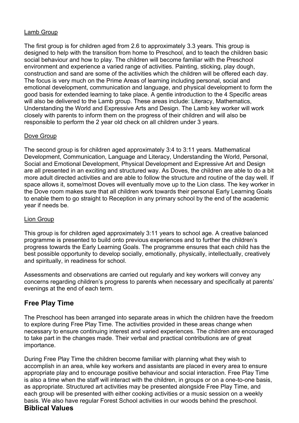#### Lamb Group

The first group is for children aged from 2.6 to approximately 3.3 years. This group is designed to help with the transition from home to Preschool, and to teach the children basic social behaviour and how to play. The children will become familiar with the Preschool environment and experience a varied range of activities. Painting, sticking, play dough, construction and sand are some of the activities which the children will be offered each day. The focus is very much on the Prime Areas of learning including personal, social and emotional development, communication and language, and physical development to form the good basis for extended learning to take place. A gentle introduction to the 4 Specific areas will also be delivered to the Lamb group. These areas include: Literacy, Mathematics, Understanding the World and Expressive Arts and Design. The Lamb key worker will work closely with parents to inform them on the progress of their children and will also be responsible to perform the 2 year old check on all children under 3 years.

#### Dove Group

The second group is for children aged approximately 3:4 to 3:11 years. Mathematical Development, Communication, Language and Literacy, Understanding the World, Personal, Social and Emotional Development, Physical Development and Expressive Art and Design are all presented in an exciting and structured way. As Doves, the children are able to do a bit more adult directed activities and are able to follow the structure and routine of the day well. If space allows it, some/most Doves will eventually move up to the Lion class. The key worker in the Dove room makes sure that all children work towards their personal Early Learning Goals to enable them to go straight to Reception in any primary school by the end of the academic year if needs be.

#### Lion Group

This group is for children aged approximately 3:11 years to school age. A creative balanced programme is presented to build onto previous experiences and to further the children's progress towards the Early Learning Goals. The programme ensures that each child has the best possible opportunity to develop socially, emotionally, physically, intellectually, creatively and spiritually, in readiness for school.

Assessments and observations are carried out regularly and key workers will convey any concerns regarding children's progress to parents when necessary and specifically at parents' evenings at the end of each term.

#### **Free Play Time**

The Preschool has been arranged into separate areas in which the children have the freedom to explore during Free Play Time. The activities provided in these areas change when necessary to ensure continuing interest and varied experiences. The children are encouraged to take part in the changes made. Their verbal and practical contributions are of great importance.

During Free Play Time the children become familiar with planning what they wish to accomplish in an area, while key workers and assistants are placed in every area to ensure appropriate play and to encourage positive behaviour and social interaction. Free Play Time is also a time when the staff will interact with the children, in groups or on a one-to-one basis, as appropriate. Structured art activities may be presented alongside Free Play Time, and each group will be presented with either cooking activities or a music session on a weekly basis. We also have regular Forest School activities in our woods behind the preschool.

#### **Biblical Values**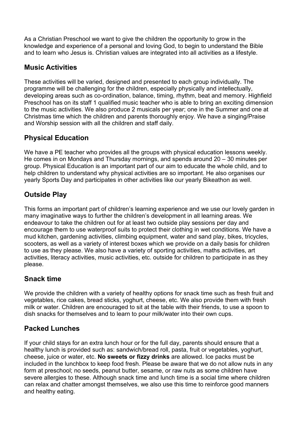As a Christian Preschool we want to give the children the opportunity to grow in the knowledge and experience of a personal and loving God, to begin to understand the Bible and to learn who Jesus is. Christian values are integrated into all activities as a lifestyle.

#### **Music Activities**

These activities will be varied, designed and presented to each group individually. The programme will be challenging for the children, especially physically and intellectually, developing areas such as co-ordination, balance, timing, rhythm, beat and memory. Highfield Preschool has on its staff 1 qualified music teacher who is able to bring an exciting dimension to the music activities. We also produce 2 musicals per year; one in the Summer and one at Christmas time which the children and parents thoroughly enjoy. We have a singing/Praise and Worship session with all the children and staff daily.

#### **Physical Education**

We have a PE teacher who provides all the groups with physical education lessons weekly. He comes in on Mondays and Thursday mornings, and spends around 20 – 30 minutes per group. Physical Education is an important part of our aim to educate the whole child, and to help children to understand why physical activities are so important. He also organises our yearly Sports Day and participates in other activities like our yearly Bikeathon as well.

#### **Outside Play**

This forms an important part of children's learning experience and we use our lovely garden in many imaginative ways to further the children's development in all learning areas. We endeavour to take the children out for at least two outside play sessions per day and encourage them to use waterproof suits to protect their clothing in wet conditions. We have a mud kitchen, gardening activities, climbing equipment, water and sand play, bikes, tricycles, scooters, as well as a variety of interest boxes which we provide on a daily basis for children to use as they please. We also have a variety of sporting activities, maths activities, art activities, literacy activities, music activities, etc. outside for children to participate in as they please.

#### **Snack time**

We provide the children with a variety of healthy options for snack time such as fresh fruit and vegetables, rice cakes, bread sticks, yoghurt, cheese, etc. We also provide them with fresh milk or water. Children are encouraged to sit at the table with their friends, to use a spoon to dish snacks for themselves and to learn to pour milk/water into their own cups.

#### **Packed Lunches**

If your child stays for an extra lunch hour or for the full day, parents should ensure that a healthy lunch is provided such as: sandwich/bread roll, pasta, fruit or vegetables, yoghurt, cheese, juice or water, etc. **No sweets or fizzy drinks** are allowed. Ice packs must be included in the lunchbox to keep food fresh. Please be aware that we do not allow nuts in any form at preschool; no seeds, peanut butter, sesame, or raw nuts as some children have severe allergies to these. Although snack time and lunch time is a social time where children can relax and chatter amongst themselves, we also use this time to reinforce good manners and healthy eating.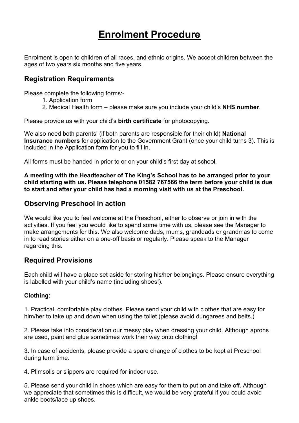## **Enrolment Procedure**

Enrolment is open to children of all races, and ethnic origins. We accept children between the ages of two years six months and five years.

#### **Registration Requirements**

Please complete the following forms:-

- 1. Application form
- 2. Medical Health form please make sure you include your child's **NHS number**.

Please provide us with your child's **birth certificate** for photocopying.

We also need both parents' (if both parents are responsible for their child) **National Insurance numbers** for application to the Government Grant (once your child turns 3). This is included in the Application form for you to fill in.

All forms must be handed in prior to or on your child's first day at school.

**A meeting with the Headteacher of The King's School has to be arranged prior to your child starting with us. Please telephone 01582 767566 the term before your child is due to start and after your child has had a morning visit with us at the Preschool.**

#### **Observing Preschool in action**

We would like you to feel welcome at the Preschool, either to observe or join in with the activities. If you feel you would like to spend some time with us, please see the Manager to make arrangements for this. We also welcome dads, mums, granddads or grandmas to come in to read stories either on a one-off basis or regularly. Please speak to the Manager regarding this.

#### **Required Provisions**

Each child will have a place set aside for storing his/her belongings. Please ensure everything is labelled with your child's name (including shoes!).

#### **Clothing:**

1. Practical, comfortable play clothes. Please send your child with clothes that are easy for him/her to take up and down when using the toilet (please avoid dungarees and belts.)

2. Please take into consideration our messy play when dressing your child. Although aprons are used, paint and glue sometimes work their way onto clothing!

3. In case of accidents, please provide a spare change of clothes to be kept at Preschool during term time.

4. Plimsolls or slippers are required for indoor use.

5. Please send your child in shoes which are easy for them to put on and take off. Although we appreciate that sometimes this is difficult, we would be very grateful if you could avoid ankle boots/lace up shoes.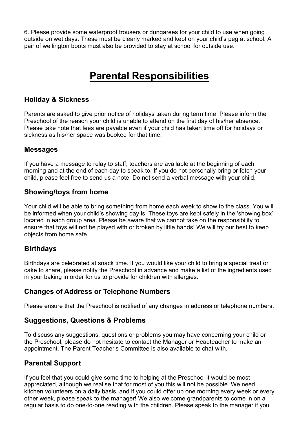6. Please provide some waterproof trousers or dungarees for your child to use when going outside on wet days. These must be clearly marked and kept on your child's peg at school. A pair of wellington boots must also be provided to stay at school for outside use.

## **Parental Responsibilities**

#### **Holiday & Sickness**

Parents are asked to give prior notice of holidays taken during term time. Please inform the Preschool of the reason your child is unable to attend on the first day of his/her absence. Please take note that fees are payable even if your child has taken time off for holidays or sickness as his/her space was booked for that time.

#### **Messages**

If you have a message to relay to staff, teachers are available at the beginning of each morning and at the end of each day to speak to. If you do not personally bring or fetch your child, please feel free to send us a note. Do not send a verbal message with your child.

#### **Showing/toys from home**

Your child will be able to bring something from home each week to show to the class. You will be informed when your child's showing day is. These toys are kept safely in the 'showing box' located in each group area. Please be aware that we cannot take on the responsibility to ensure that toys will not be played with or broken by little hands! We will try our best to keep objects from home safe.

#### **Birthdays**

Birthdays are celebrated at snack time. If you would like your child to bring a special treat or cake to share, please notify the Preschool in advance and make a list of the ingredients used in your baking in order for us to provide for children with allergies.

#### **Changes of Address or Telephone Numbers**

Please ensure that the Preschool is notified of any changes in address or telephone numbers.

#### **Suggestions, Questions & Problems**

To discuss any suggestions, questions or problems you may have concerning your child or the Preschool, please do not hesitate to contact the Manager or Headteacher to make an appointment. The Parent Teacher's Committee is also available to chat with.

#### **Parental Support**

If you feel that you could give some time to helping at the Preschool it would be most appreciated, although we realise that for most of you this will not be possible. We need kitchen volunteers on a daily basis, and if you could offer up one morning every week or every other week, please speak to the manager! We also welcome grandparents to come in on a regular basis to do one-to-one reading with the children. Please speak to the manager if you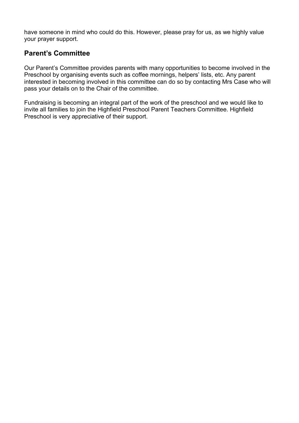have someone in mind who could do this. However, please pray for us, as we highly value your prayer support.

#### **Parent's Committee**

Our Parent's Committee provides parents with many opportunities to become involved in the Preschool by organising events such as coffee mornings, helpers' lists, etc. Any parent interested in becoming involved in this committee can do so by contacting Mrs Case who will pass your details on to the Chair of the committee.

Fundraising is becoming an integral part of the work of the preschool and we would like to invite all families to join the Highfield Preschool Parent Teachers Committee. Highfield Preschool is very appreciative of their support.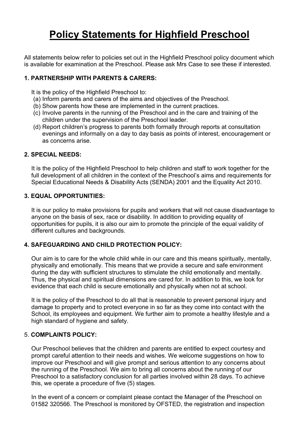## **Policy Statements for Highfield Preschool**

All statements below refer to policies set out in the Highfield Preschool policy document which is available for examination at the Preschool. Please ask Mrs Case to see these if interested.

#### **1. PARTNERSHIP WITH PARENTS & CARERS:**

It is the policy of the Highfield Preschool to:

- (a) Inform parents and carers of the aims and objectives of the Preschool.
- (b) Show parents how these are implemented in the current practices.
- (c) Involve parents in the running of the Preschool and in the care and training of the children under the supervision of the Preschool leader.
- (d) Report children's progress to parents both formally through reports at consultation evenings and informally on a day to day basis as points of interest, encouragement or as concerns arise.

#### **2. SPECIAL NEEDS:**

It is the policy of the Highfield Preschool to help children and staff to work together for the full development of all children in the context of the Preschool's aims and requirements for Special Educational Needs & Disability Acts (SENDA) 2001 and the Equality Act 2010.

#### **3. EQUAL OPPORTUNITIES:**

It is our policy to make provisions for pupils and workers that will not cause disadvantage to anyone on the basis of sex, race or disability. In addition to providing equality of opportunities for pupils, it is also our aim to promote the principle of the equal validity of different cultures and backgrounds.

#### **4. SAFEGUARDING AND CHILD PROTECTION POLICY:**

Our aim is to care for the whole child while in our care and this means spiritually, mentally, physically and emotionally. This means that we provide a secure and safe environment during the day with sufficient structures to stimulate the child emotionally and mentally. Thus, the physical and spiritual dimensions are cared for. In addition to this, we look for evidence that each child is secure emotionally and physically when not at school.

It is the policy of the Preschool to do all that is reasonable to prevent personal injury and damage to property and to protect everyone in so far as they come into contact with the School, its employees and equipment. We further aim to promote a healthy lifestyle and a high standard of hygiene and safety.

#### 5. **COMPLAINTS POLICY:**

Our Preschool believes that the children and parents are entitled to expect courtesy and prompt careful attention to their needs and wishes. We welcome suggestions on how to improve our Preschool and will give prompt and serious attention to any concerns about the running of the Preschool. We aim to bring all concerns about the running of our Preschool to a satisfactory conclusion for all parties involved within 28 days. To achieve this, we operate a procedure of five (5) stages.

In the event of a concern or complaint please contact the Manager of the Preschool on 01582 320566. The Preschool is monitored by OFSTED, the registration and inspection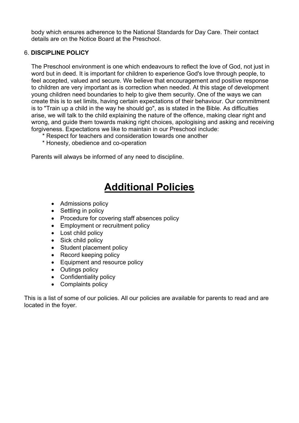body which ensures adherence to the National Standards for Day Care. Their contact details are on the Notice Board at the Preschool.

#### 6. **DISCIPLINE POLICY**

The Preschool environment is one which endeavours to reflect the love of God, not just in word but in deed. It is important for children to experience God's love through people, to feel accepted, valued and secure. We believe that encouragement and positive response to children are very important as is correction when needed. At this stage of development young children need boundaries to help to give them security. One of the ways we can create this is to set limits, having certain expectations of their behaviour. Our commitment is to "Train up a child in the way he should go", as is stated in the Bible. As difficulties arise, we will talk to the child explaining the nature of the offence, making clear right and wrong, and guide them towards making right choices, apologising and asking and receiving forgiveness. Expectations we like to maintain in our Preschool include:

- \* Respect for teachers and consideration towards one another
- \* Honesty, obedience and co-operation

Parents will always be informed of any need to discipline.

## **Additional Policies**

- Admissions policy
- Settling in policy
- Procedure for covering staff absences policy
- Employment or recruitment policy
- Lost child policy
- Sick child policy
- Student placement policy
- Record keeping policy
- Equipment and resource policy
- Outings policy
- Confidentiality policy
- Complaints policy

This is a list of some of our policies. All our policies are available for parents to read and are located in the foyer.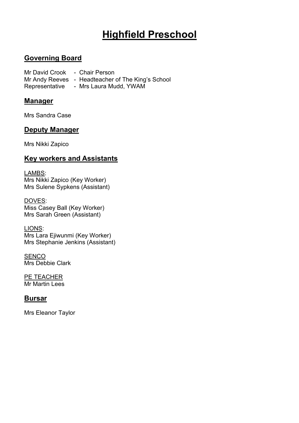## **Highfield Preschool**

#### **Governing Board**

Mr David Crook - Chair Person Mr Andy Reeves - Headteacher of The King's School Representative - Mrs Laura Mudd, YWAM

#### **Manager**

Mrs Sandra Case

#### **Deputy Manager**

Mrs Nikki Zapico

#### **Key workers and Assistants**

LAMBS: Mrs Nikki Zapico (Key Worker) Mrs Sulene Sypkens (Assistant)

DOVES: Miss Casey Ball (Key Worker) Mrs Sarah Green (Assistant)

LIONS: Mrs Lara Ejiwunmi (Key Worker) Mrs Stephanie Jenkins (Assistant)

**SENCO** Mrs Debbie Clark

PE TEACHER Mr Martin Lees

#### **Bursar**

Mrs Eleanor Taylor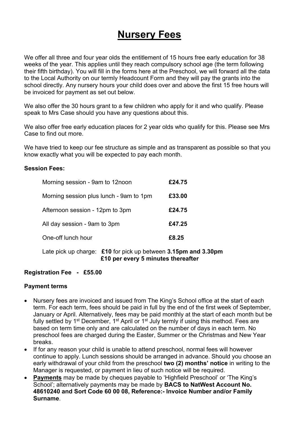## **Nursery Fees**

We offer all three and four year olds the entitlement of 15 hours free early education for 38 weeks of the year. This applies until they reach compulsory school age (the term following their fifth birthday). You will fill in the forms here at the Preschool, we will forward all the data to the Local Authority on our termly Headcount Form and they will pay the grants into the school directly. Any nursery hours your child does over and above the first 15 free hours will be invoiced for payment as set out below.

We also offer the 30 hours grant to a few children who apply for it and who qualify. Please speak to Mrs Case should you have any questions about this.

We also offer free early education places for 2 year olds who qualify for this. Please see Mrs Case to find out more.

We have tried to keep our fee structure as simple and as transparent as possible so that you know exactly what you will be expected to pay each month.

#### **Session Fees:**

| Morning session - 9am to 12noon                                | £24.75 |
|----------------------------------------------------------------|--------|
| Morning session plus lunch - 9am to 1pm                        | £33.00 |
| Afternoon session - 12pm to 3pm                                | £24.75 |
| All day session - 9am to 3pm                                   | £47.25 |
| One-off lunch hour                                             | £8.25  |
| Late pick up charge: £10 for pick up between 3.15pm and 3.30pm |        |

**£10 per every 5 minutes thereafter**

#### **Registration Fee - £55.00**

#### **Payment terms**

- Nursery fees are invoiced and issued from The King's School office at the start of each term. For each term, fees should be paid in full by the end of the first week of September, January or April. Alternatively, fees may be paid monthly at the start of each month but be fully settled by 1<sup>st</sup> December, 1<sup>st</sup> April or 1<sup>st</sup> July termly if using this method. Fees are based on term time only and are calculated on the number of days in each term. No preschool fees are charged during the Easter, Summer or the Christmas and New Year breaks.
- If for any reason your child is unable to attend preschool, normal fees will however continue to apply. Lunch sessions should be arranged in advance. Should you choose an early withdrawal of your child from the preschool **two (2) months' notice** in writing to the Manager is requested, or payment in lieu of such notice will be required.
- **Payments** may be made by cheques payable to 'Highfield Preschool' or 'The King's School'; alternatively payments may be made by **BACS to NatWest Account No. 48610240 and Sort Code 60 00 08, Reference:- Invoice Number and/or Family Surname**.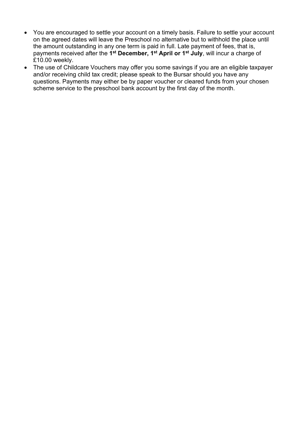- You are encouraged to settle your account on a timely basis. Failure to settle your account on the agreed dates will leave the Preschool no alternative but to withhold the place until the amount outstanding in any one term is paid in full. Late payment of fees, that is, payments received after the **1st December, 1st April or 1st July**, will incur a charge of £10.00 weekly.
- The use of Childcare Vouchers may offer you some savings if you are an eligible taxpayer and/or receiving child tax credit; please speak to the Bursar should you have any questions. Payments may either be by paper voucher or cleared funds from your chosen scheme service to the preschool bank account by the first day of the month.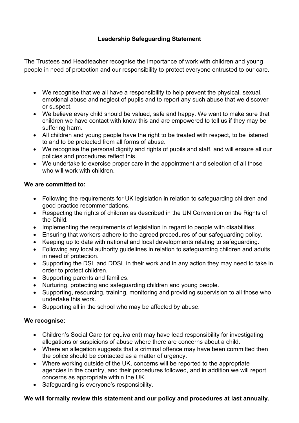#### **Leadership Safeguarding Statement**

The Trustees and Headteacher recognise the importance of work with children and young people in need of protection and our responsibility to protect everyone entrusted to our care.

- We recognise that we all have a responsibility to help prevent the physical, sexual, emotional abuse and neglect of pupils and to report any such abuse that we discover or suspect.
- We believe every child should be valued, safe and happy. We want to make sure that children we have contact with know this and are empowered to tell us if they may be suffering harm.
- All children and young people have the right to be treated with respect, to be listened to and to be protected from all forms of abuse.
- We recognise the personal dignity and rights of pupils and staff, and will ensure all our policies and procedures reflect this.
- We undertake to exercise proper care in the appointment and selection of all those who will work with children.

#### **We are committed to:**

- Following the requirements for UK legislation in relation to safeguarding children and good practice recommendations.
- Respecting the rights of children as described in the UN Convention on the Rights of the Child.
- Implementing the requirements of legislation in regard to people with disabilities.
- Ensuring that workers adhere to the agreed procedures of our safeguarding policy.
- Keeping up to date with national and local developments relating to safeguarding.
- Following any local authority guidelines in relation to safeguarding children and adults in need of protection.
- Supporting the DSL and DDSL in their work and in any action they may need to take in order to protect children.
- Supporting parents and families.
- Nurturing, protecting and safeguarding children and young people.
- Supporting, resourcing, training, monitoring and providing supervision to all those who undertake this work.
- Supporting all in the school who may be affected by abuse.

#### **We recognise:**

- Children's Social Care (or equivalent) may have lead responsibility for investigating allegations or suspicions of abuse where there are concerns about a child.
- Where an allegation suggests that a criminal offence may have been committed then the police should be contacted as a matter of urgency.
- Where working outside of the UK, concerns will be reported to the appropriate agencies in the country, and their procedures followed, and in addition we will report concerns as appropriate within the UK.
- Safeguarding is everyone's responsibility.

#### **We will formally review this statement and our policy and procedures at last annually.**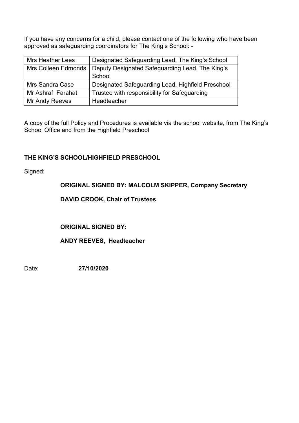If you have any concerns for a child, please contact one of the following who have been approved as safeguarding coordinators for The King's School: -

| <b>Mrs Heather Lees</b> | Designated Safeguarding Lead, The King's School                       |
|-------------------------|-----------------------------------------------------------------------|
|                         | Mrs Colleen Edmonds   Deputy Designated Safeguarding Lead, The King's |
|                         | School                                                                |
| Mrs Sandra Case         | Designated Safeguarding Lead, Highfield Preschool                     |
| Mr Ashraf Farahat       | Trustee with responsibility for Safeguarding                          |
| Mr Andy Reeves          | Headteacher                                                           |

A copy of the full Policy and Procedures is available via the school website, from The King's School Office and from the Highfield Preschool

#### **THE KING'S SCHOOL/HIGHFIELD PRESCHOOL**

Signed:

#### **ORIGINAL SIGNED BY: MALCOLM SKIPPER, Company Secretary**

**DAVID CROOK, Chair of Trustees**

**ORIGINAL SIGNED BY:**

**ANDY REEVES, Headteacher**

Date: **27/10/2020**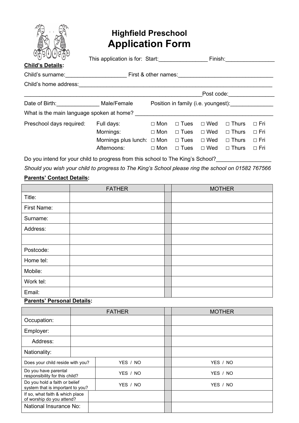

### **Highfield Preschool Application Form**

| $U_{(i)}$ > $U_{(i)}$<br><b>Child's Details:</b> | This application is for: Start: |                      |                                     | Finish:    |              |            |  |
|--------------------------------------------------|---------------------------------|----------------------|-------------------------------------|------------|--------------|------------|--|
| Child's surname:                                 |                                 | First & other names: |                                     |            |              |            |  |
| Child's home address:                            |                                 |                      |                                     |            |              |            |  |
|                                                  |                                 |                      |                                     | Post code: |              |            |  |
| Date of Birth: Date of Birth:                    | Male/Female                     |                      | Position in family (i.e. youngest): |            |              |            |  |
| What is the main language spoken at home?        |                                 |                      |                                     |            |              |            |  |
| Preschool days required:                         | Full days:                      | $\Box$ Mon           | $\Box$ Tues                         | $\Box$ Wed | $\Box$ Thurs | $\Box$ Fri |  |
|                                                  | Mornings:                       | $\Box$ Mon           | $\Box$ Tues                         | $\Box$ Wed | $\Box$ Thurs | $\Box$ Fri |  |
|                                                  | Mornings plus lunch: $\Box$ Mon |                      | $\Box$ Tues                         | $\Box$ Wed | $\Box$ Thurs | $\Box$ Fri |  |
|                                                  | Afternoons:                     | $\Box$ Mon           | $\Box$ Tues                         | $\Box$ Wed | $\Box$ Thurs | $\Box$ Fri |  |

Do you intend for your child to progress from this school to The King's School?\_\_\_\_\_\_\_\_\_\_\_\_\_\_\_\_\_\_\_\_\_\_\_\_\_\_\_\_\_\_

*Should you wish your child to progress to The King's School please ring the school on 01582 767566* **Parents' Contact Details:**

## FATHER | | MOTHER Title: First Name: Surname: Address: Postcode: Home tel: Mobile: Work tel: Email:

#### **Parents' Personal Details:**

|                                                                               |  | <b>FATHER</b> | <b>MOTHER</b> |
|-------------------------------------------------------------------------------|--|---------------|---------------|
| Occupation:                                                                   |  |               |               |
| Employer:                                                                     |  |               |               |
| Address:                                                                      |  |               |               |
| Nationality:                                                                  |  |               |               |
| Does your child reside with you?                                              |  | YES / NO      | YES / NO      |
| Do you have parental<br>responsibility for this child?                        |  | YES / NO      | YES / NO      |
| Do you hold a faith or belief<br>YES / NO<br>system that is important to you? |  | YES / NO      |               |
| If so, what faith & which place<br>of worship do you attend?                  |  |               |               |
| National Insurance No:                                                        |  |               |               |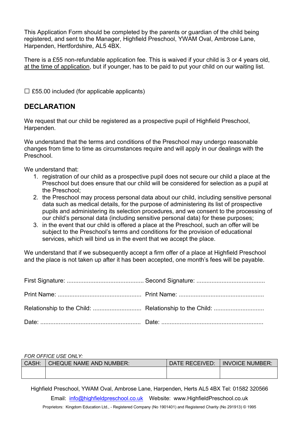This Application Form should be completed by the parents or guardian of the child being registered, and sent to the Manager, Highfield Preschool, YWAM Oval, Ambrose Lane, Harpenden, Hertfordshire, AL5 4BX.

There is a £55 non-refundable application fee. This is waived if your child is 3 or 4 years old, at the time of application, but if younger, has to be paid to put your child on our waiting list.

 $\square$  £55.00 included (for applicable applicants)

#### **DECLARATION**

We request that our child be registered as a prospective pupil of Highfield Preschool, Harpenden.

We understand that the terms and conditions of the Preschool may undergo reasonable changes from time to time as circumstances require and will apply in our dealings with the Preschool.

We understand that:

- 1. registration of our child as a prospective pupil does not secure our child a place at the Preschool but does ensure that our child will be considered for selection as a pupil at the Preschool;
- 2. the Preschool may process personal data about our child, including sensitive personal data such as medical details, for the purpose of administering its list of prospective pupils and administering its selection procedures, and we consent to the processing of our child's personal data (including sensitive personal data) for these purposes;
- 3. in the event that our child is offered a place at the Preschool, such an offer will be subject to the Preschool's terms and conditions for the provision of educational services, which will bind us in the event that we accept the place.

We understand that if we subsequently accept a firm offer of a place at Highfield Preschool and the place is not taken up after it has been accepted, one month's fees will be payable.

#### *FOR OFFICE USE ONLY:*

| CASH: | CHEQUE NAME AND NUMBER: | DATE RECEIVED: | <b>INVOICE NUMBER:</b> |
|-------|-------------------------|----------------|------------------------|
|       |                         |                |                        |
|       |                         |                |                        |

Highfield Preschool, YWAM Oval, Ambrose Lane, Harpenden, Herts AL5 4BX Tel: 01582 320566

Email: [info@highfieldpreschool.co.uk](mailto:info@highfieldpreschool.co.uk) Website: www.HighfieldPreschool.co.uk

Proprietors: Kingdom Education Ltd., - Registered Company (No 1901401) and Registered Charity (No 291913) © 1995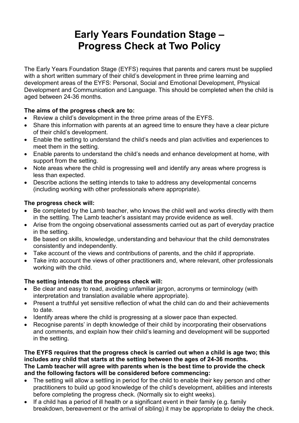## **Early Years Foundation Stage – Progress Check at Two Policy**

The Early Years Foundation Stage (EYFS) requires that parents and carers must be supplied with a short written summary of their child's development in three prime learning and development areas of the EYFS: Personal, Social and Emotional Development, Physical Development and Communication and Language. This should be completed when the child is aged between 24-36 months.

#### **The aims of the progress check are to:**

- Review a child's development in the three prime areas of the EYFS.
- Share this information with parents at an agreed time to ensure they have a clear picture of their child's development.
- Enable the setting to understand the child's needs and plan activities and experiences to meet them in the setting.
- Enable parents to understand the child's needs and enhance development at home, with support from the setting.
- Note areas where the child is progressing well and identify any areas where progress is less than expected.
- Describe actions the setting intends to take to address any developmental concerns (including working with other professionals where appropriate).

#### **The progress check will:**

- Be completed by the Lamb teacher, who knows the child well and works directly with them in the settling. The Lamb teacher's assistant may provide evidence as well.
- Arise from the ongoing observational assessments carried out as part of everyday practice in the setting.
- Be based on skills, knowledge, understanding and behaviour that the child demonstrates consistently and independently.
- Take account of the views and contributions of parents, and the child if appropriate.
- Take into account the views of other practitioners and, where relevant, other professionals working with the child.

#### **The setting intends that the progress check will:**

- Be clear and easy to read, avoiding unfamiliar jargon, acronyms or terminology (with interpretation and translation available where appropriate).
- Present a truthful yet sensitive reflection of what the child can do and their achievements to date.
- Identify areas where the child is progressing at a slower pace than expected.
- Recognise parents' in depth knowledge of their child by incorporating their observations and comments, and explain how their child's learning and development will be supported in the setting.

**The EYFS requires that the progress check is carried out when a child is age two; this includes any child that starts at the setting between the ages of 24-36 months. The Lamb teacher will agree with parents when is the best time to provide the check and the following factors will be considered before commencing:**

- The setting will allow a settling in period for the child to enable their key person and other practitioners to build up good knowledge of the child's development, abilities and interests before completing the progress check. (Normally six to eight weeks).
- If a child has a period of ill health or a significant event in their family (e.g. family breakdown, bereavement or the arrival of sibling) it may be appropriate to delay the check.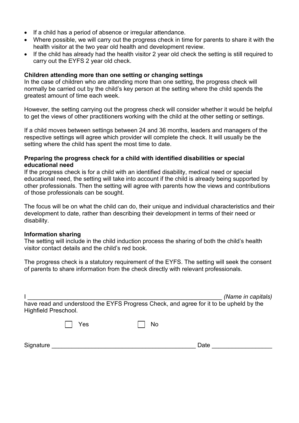- If a child has a period of absence or irregular attendance.
- Where possible, we will carry out the progress check in time for parents to share it with the health visitor at the two year old health and development review.
- If the child has already had the health visitor 2 year old check the setting is still required to carry out the EYFS 2 year old check.

#### **Children attending more than one setting or changing settings**

In the case of children who are attending more than one setting, the progress check will normally be carried out by the child's key person at the setting where the child spends the greatest amount of time each week.

However, the setting carrying out the progress check will consider whether it would be helpful to get the views of other practitioners working with the child at the other setting or settings.

If a child moves between settings between 24 and 36 months, leaders and managers of the respective settings will agree which provider will complete the check. It will usually be the setting where the child has spent the most time to date.

#### **Preparing the progress check for a child with identified disabilities or special educational need**

If the progress check is for a child with an identified disability, medical need or special educational need, the setting will take into account if the child is already being supported by other professionals. Then the setting will agree with parents how the views and contributions of those professionals can be sought.

The focus will be on what the child can do, their unique and individual characteristics and their development to date, rather than describing their development in terms of their need or disability.

#### **Information sharing**

The setting will include in the child induction process the sharing of both the child's health visitor contact details and the child's red book.

The progress check is a statutory requirement of the EYFS. The setting will seek the consent of parents to share information from the check directly with relevant professionals.

| Highfield Preschool. |     | have read and understood the EYFS Progress Check, and agree for it to be upheld by the | (Name in capitals) |
|----------------------|-----|----------------------------------------------------------------------------------------|--------------------|
|                      | Yes | No                                                                                     |                    |
| Signature            |     |                                                                                        | Date               |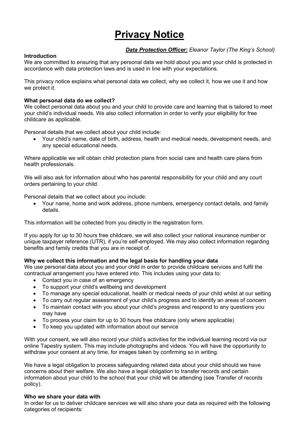## **Privacy Notice**

#### *Data Protection Officer: Eleanor Taylor (The King's School)*

#### **Introduction**

We are committed to ensuring that any personal data we hold about you and your child is protected in accordance with data protection laws and is used in line with your expectations.

This privacy notice explains what personal data we collect, why we collect it, how we use it and how we protect it.

#### **What personal data do we collect?**

We collect personal data about you and your child to provide care and learning that is tailored to meet your child's individual needs. We also collect information in order to verify your eligibility for free childcare as applicable.

Personal details that we collect about your child include:

• Your child's name, date of birth, address, health and medical needs, development needs, and any special educational needs.

Where applicable we will obtain child protection plans from social care and health care plans from health professionals.

We will also ask for information about who has parental responsibility for your child and any court orders pertaining to your child.

Personal details that we collect about you include:

• Your name, home and work address, phone numbers, emergency contact details, and family details.

This information will be collected from you directly in the registration form.

If you apply for up to 30 hours free childcare, we will also collect your national insurance number or unique taxpayer reference (UTR), if you're self-employed. We may also collect information regarding benefits and family credits that you are in receipt of.

#### **Why we collect this information and the legal basis for handling your data**

We use personal data about you and your child in order to provide childcare services and fulfil the contractual arrangement you have entered into. This includes using your data to:

- Contact you in case of an emergency
- To support your child's wellbeing and development
- To manage any special educational, health or medical needs of your child whilst at our setting
- To carry out regular assessment of your child's progress and to identify an areas of concern
- To maintain contact with you about your child's progress and respond to any questions you may have
- To process your claim for up to 30 hours free childcare (only where applicable)
- To keep you updated with information about our service

With your consent, we will also record your child's activities for the individual learning record via our online Tapestry system. This may include photographs and videos. You will have the opportunity to withdraw your consent at any time, for images taken by confirming so in writing.

We have a legal obligation to process safeguarding related data about your child should we have concerns about their welfare. We also have a legal obligation to transfer records and certain information about your child to the school that your child will be attending (see Transfer of records policy).

#### **Who we share your data with**

In order for us to deliver childcare services we will also share your data as required with the following categories of recipients: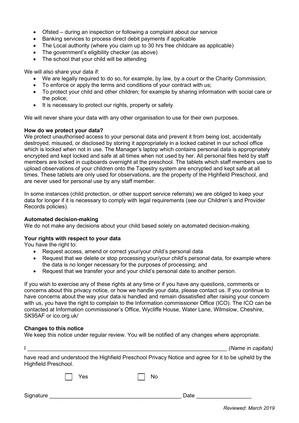- Ofsted during an inspection or following a complaint about our service
- Banking services to process direct debit payments if applicable
- The Local authority (where you claim up to 30 hrs free childcare as applicable)
- The government's eligibility checker (as above)
- The school that your child will be attending

We will also share your data if:

- We are legally required to do so, for example, by law, by a court or the Charity Commission;
- To enforce or apply the terms and conditions of your contract with us;
- To protect your child and other children; for example by sharing information with social care or the police;
- It is necessary to protect our rights, property or safety

We will never share your data with any other organisation to use for their own purposes.

#### **How do we protect your data?**

We protect unauthorised access to your personal data and prevent it from being lost, accidentally destroyed, misused, or disclosed by storing it appropriately in a locked cabinet in our school office which is locked when not in use. The Manager's laptop which contains personal data is appropriately encrypted and kept locked and safe at all times when not used by her. All personal files held by staff members are locked in cupboards overnight at the preschool. The tablets which staff members use to upload observations of your children onto the Tapestry system are encrypted and kept safe at all times. These tablets are only used for observations, are the property of the Highfield Preschool, and are never used for personal use by any staff member.

In some instances (child protection, or other support service referrals) we are obliged to keep your data for longer if it is necessary to comply with legal requirements (see our Children's and Provider Records policies).

#### **Automated decision-making**

We do not make any decisions about your child based solely on automated decision-making.

#### **Your rights with respect to your data**

You have the right to:

- Request access, amend or correct your/your child's personal data
- Request that we delete or stop processing your/your child's personal data, for example where the data is no longer necessary for the purposes of processing; and
- Request that we transfer your and your child's personal date to another person.

If you wish to exercise any of these rights at any time or if you have any questions, comments or concerns about this privacy notice, or how we handle your data, please contact us. If you continue to have concerns about the way your data is handled and remain dissatisfied after raising your concern with us, you have the right to complain to the Information commissioner Office (ICO). The ICO can be contacted at Information commissioner's Office, Wycliffe House, Water Lane, Wilmslow, Cheshire, SK95AF or ico.org.uk/

#### **Changes to this notice**

We keep this notice under regular review. You will be notified of any changes where appropriate.

|                                                                                                                              | (Name in capitals) |
|------------------------------------------------------------------------------------------------------------------------------|--------------------|
| have read and understood the Highfield Preschool Privacy Notice and agree for it to be upheld by the<br>Highfield Preschool. |                    |

Signature \_\_\_\_\_\_\_\_\_\_\_\_\_\_\_\_\_\_\_\_\_\_\_\_\_\_\_\_\_\_\_\_\_\_\_\_\_\_\_\_\_\_\_ Date \_\_\_\_\_\_\_\_\_\_\_\_\_\_\_\_\_\_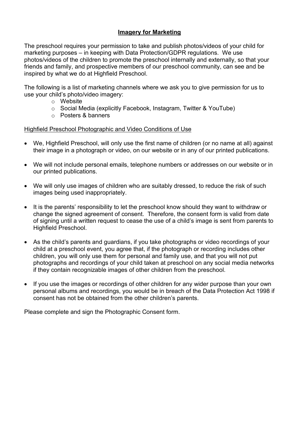#### **Imagery for Marketing**

The preschool requires your permission to take and publish photos/videos of your child for marketing purposes – in keeping with Data Protection/GDPR regulations. We use photos/videos of the children to promote the preschool internally and externally, so that your friends and family, and prospective members of our preschool community, can see and be inspired by what we do at Highfield Preschool.

The following is a list of marketing channels where we ask you to give permission for us to use your child's photo/video imagery:

- o Website
- o Social Media (explicitly Facebook, Instagram, Twitter & YouTube)
- o Posters & banners

#### Highfield Preschool Photographic and Video Conditions of Use

- We, Highfield Preschool, will only use the first name of children (or no name at all) against their image in a photograph or video, on our website or in any of our printed publications.
- We will not include personal emails, telephone numbers or addresses on our website or in our printed publications.
- We will only use images of children who are suitably dressed, to reduce the risk of such images being used inappropriately.
- It is the parents' responsibility to let the preschool know should they want to withdraw or change the signed agreement of consent. Therefore, the consent form is valid from date of signing until a written request to cease the use of a child's image is sent from parents to Highfield Preschool.
- As the child's parents and guardians, if you take photographs or video recordings of your child at a preschool event, you agree that, if the photograph or recording includes other children, you will only use them for personal and family use, and that you will not put photographs and recordings of your child taken at preschool on any social media networks if they contain recognizable images of other children from the preschool.
- If you use the images or recordings of other children for any wider purpose than your own personal albums and recordings, you would be in breach of the Data Protection Act 1998 if consent has not be obtained from the other children's parents.

Please complete and sign the Photographic Consent form.